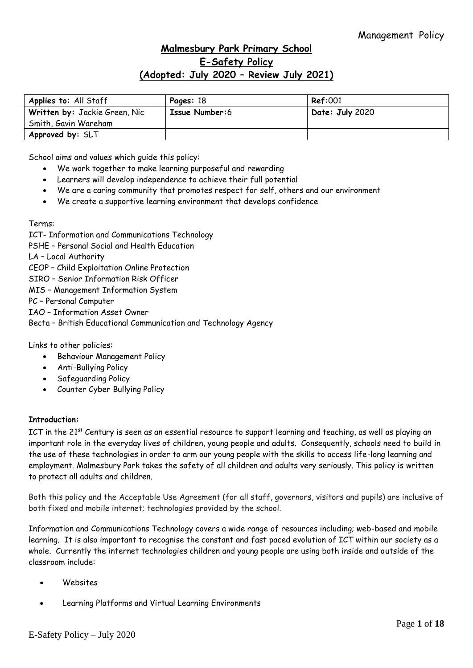# **Malmesbury Park Primary School E-Safety Policy (Adopted: July 2020 – Review July 2021)**

| Applies to: All Staff         | Pages: 18      | <b>Ref:001</b>  |
|-------------------------------|----------------|-----------------|
| Written by: Jackie Green, Nic | Issue Number:6 | Date: July 2020 |
| Smith, Gavin Wareham          |                |                 |
| Approved by: SLT              |                |                 |

School aims and values which guide this policy:

- We work together to make learning purposeful and rewarding
- Learners will develop independence to achieve their full potential
- We are a caring community that promotes respect for self, others and our environment
- We create a supportive learning environment that develops confidence

Terms:

ICT- Information and Communications Technology PSHE – Personal Social and Health Education LA – Local Authority CEOP – Child Exploitation Online Protection SIRO – Senior Information Risk Officer MIS – Management Information System PC – Personal Computer IAO – Information Asset Owner Becta – British Educational Communication and Technology Agency

Links to other policies:

- Behaviour Management Policy
- Anti-Bullying Policy
- Safeguarding Policy
- Counter Cyber Bullying Policy

## **Introduction:**

ICT in the 21<sup>st</sup> Century is seen as an essential resource to support learning and teaching, as well as playing an important role in the everyday lives of children, young people and adults. Consequently, schools need to build in the use of these technologies in order to arm our young people with the skills to access life-long learning and employment. Malmesbury Park takes the safety of all children and adults very seriously. This policy is written to protect all adults and children.

Both this policy and the Acceptable Use Agreement (for all staff, governors, visitors and pupils) are inclusive of both fixed and mobile internet; technologies provided by the school.

Information and Communications Technology covers a wide range of resources including; web-based and mobile learning. It is also important to recognise the constant and fast paced evolution of ICT within our society as a whole. Currently the internet technologies children and young people are using both inside and outside of the classroom include:

- Websites
- Learning Platforms and Virtual Learning Environments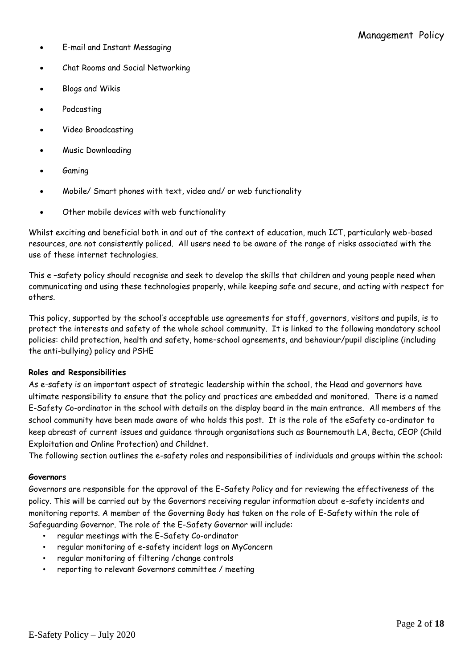- E-mail and Instant Messaging
- Chat Rooms and Social Networking
- Blogs and Wikis
- Podcasting
- Video Broadcasting
- Music Downloading
- Gaming
- Mobile/ Smart phones with text, video and/ or web functionality
- Other mobile devices with web functionality

Whilst exciting and beneficial both in and out of the context of education, much ICT, particularly web-based resources, are not consistently policed. All users need to be aware of the range of risks associated with the use of these internet technologies.

This e –safety policy should recognise and seek to develop the skills that children and young people need when communicating and using these technologies properly, while keeping safe and secure, and acting with respect for others.

This policy, supported by the school's acceptable use agreements for staff, governors, visitors and pupils, is to protect the interests and safety of the whole school community. It is linked to the following mandatory school policies: child protection, health and safety, home–school agreements, and behaviour/pupil discipline (including the anti-bullying) policy and PSHE

### **Roles and Responsibilities**

As e-safety is an important aspect of strategic leadership within the school, the Head and governors have ultimate responsibility to ensure that the policy and practices are embedded and monitored. There is a named E-Safety Co-ordinator in the school with details on the display board in the main entrance. All members of the school community have been made aware of who holds this post. It is the role of the eSafety co-ordinator to keep abreast of current issues and guidance through organisations such as Bournemouth LA, Becta, CEOP (Child Exploitation and Online Protection) and Childnet.

The following section outlines the e-safety roles and responsibilities of individuals and groups within the school:

### **Governors**

Governors are responsible for the approval of the E-Safety Policy and for reviewing the effectiveness of the policy. This will be carried out by the Governors receiving regular information about e-safety incidents and monitoring reports. A member of the Governing Body has taken on the role of E-Safety within the role of Safeguarding Governor. The role of the E-Safety Governor will include:

- regular meetings with the E-Safety Co-ordinator
- regular monitoring of e-safety incident logs on MyConcern
- regular monitoring of filtering /change controls
- reporting to relevant Governors committee / meeting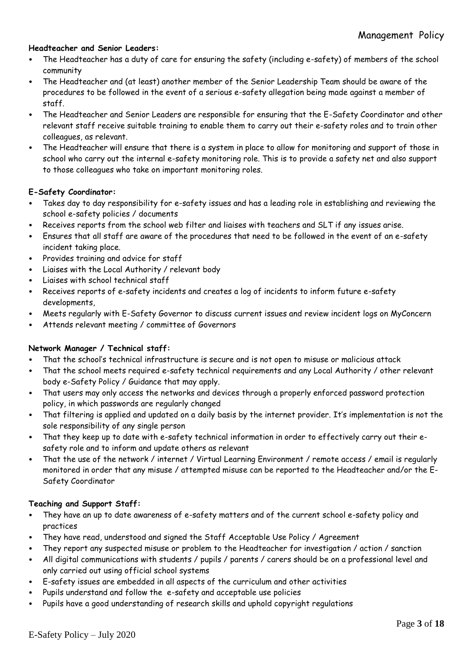## **Headteacher and Senior Leaders:**

- The Headteacher has a duty of care for ensuring the safety (including e-safety) of members of the school community
- The Headteacher and (at least) another member of the Senior Leadership Team should be aware of the procedures to be followed in the event of a serious e-safety allegation being made against a member of staff.
- The Headteacher and Senior Leaders are responsible for ensuring that the E-Safety Coordinator and other relevant staff receive suitable training to enable them to carry out their e-safety roles and to train other colleagues, as relevant.
- The Headteacher will ensure that there is a system in place to allow for monitoring and support of those in school who carry out the internal e-safety monitoring role. This is to provide a safety net and also support to those colleagues who take on important monitoring roles.

## **E-Safety Coordinator:**

- Takes day to day responsibility for e-safety issues and has a leading role in establishing and reviewing the school e-safety policies / documents
- Receives reports from the school web filter and liaises with teachers and SLT if any issues arise.
- Ensures that all staff are aware of the procedures that need to be followed in the event of an e-safety incident taking place.
- Provides training and advice for staff
- Liaises with the Local Authority / relevant body
- Liaises with school technical staff
- Receives reports of e-safety incidents and creates a log of incidents to inform future e-safety developments,
- Meets regularly with E-Safety Governor to discuss current issues and review incident logs on MyConcern
- Attends relevant meeting / committee of Governors

## **Network Manager / Technical staff:**

- That the school's technical infrastructure is secure and is not open to misuse or malicious attack
- That the school meets required e-safety technical requirements and any Local Authority / other relevant body e-Safety Policy / Guidance that may apply.
- That users may only access the networks and devices through a properly enforced password protection policy, in which passwords are regularly changed
- That filtering is applied and updated on a daily basis by the internet provider. It's implementation is not the sole responsibility of any single person
- That they keep up to date with e-safety technical information in order to effectively carry out their esafety role and to inform and update others as relevant
- That the use of the network / internet / Virtual Learning Environment / remote access / email is regularly monitored in order that any misuse / attempted misuse can be reported to the Headteacher and/or the E-Safety Coordinator

### **Teaching and Support Staff:**

- They have an up to date awareness of e-safety matters and of the current school e-safety policy and practices
- They have read, understood and signed the Staff Acceptable Use Policy / Agreement
- They report any suspected misuse or problem to the Headteacher for investigation / action / sanction
- All digital communications with students / pupils / parents / carers should be on a professional level and only carried out using official school systems
- E-safety issues are embedded in all aspects of the curriculum and other activities
- Pupils understand and follow the e-safety and acceptable use policies
- Pupils have a good understanding of research skills and uphold copyright regulations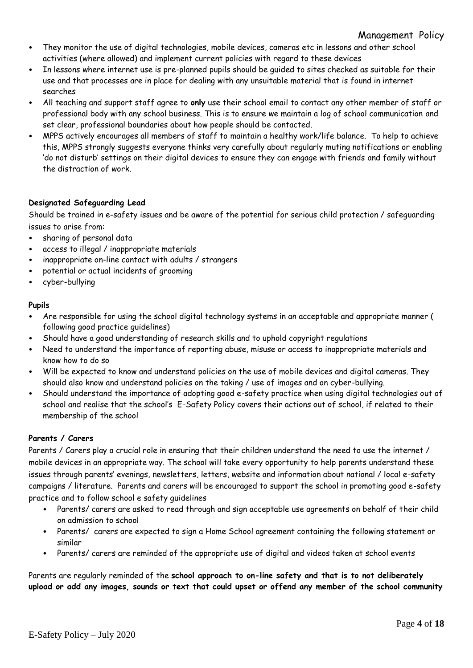## Management Policy

- They monitor the use of digital technologies, mobile devices, cameras etc in lessons and other school activities (where allowed) and implement current policies with regard to these devices
- In lessons where internet use is pre-planned pupils should be guided to sites checked as suitable for their use and that processes are in place for dealing with any unsuitable material that is found in internet searches
- All teaching and support staff agree to **only** use their school email to contact any other member of staff or professional body with any school business. This is to ensure we maintain a log of school communication and set clear, professional boundaries about how people should be contacted.
- MPPS actively encourages all members of staff to maintain a healthy work/life balance. To help to achieve this, MPPS strongly suggests everyone thinks very carefully about regularly muting notifications or enabling 'do not disturb' settings on their digital devices to ensure they can engage with friends and family without the distraction of work.

## **Designated Safeguarding Lead**

Should be trained in e-safety issues and be aware of the potential for serious child protection / safeguarding issues to arise from:

- sharing of personal data
- access to illegal / inappropriate materials
- inappropriate on-line contact with adults / strangers
- potential or actual incidents of grooming
- cyber-bullying

## **Pupils**

- Are responsible for using the school digital technology systems in an acceptable and appropriate manner ( following good practice guidelines)
- Should have a good understanding of research skills and to uphold copyright regulations
- Need to understand the importance of reporting abuse, misuse or access to inappropriate materials and know how to do so
- Will be expected to know and understand policies on the use of mobile devices and digital cameras. They should also know and understand policies on the taking / use of images and on cyber-bullying.
- Should understand the importance of adopting good e-safety practice when using digital technologies out of school and realise that the school's E-Safety Policy covers their actions out of school, if related to their membership of the school

## **Parents / Carers**

Parents / Carers play a crucial role in ensuring that their children understand the need to use the internet / mobile devices in an appropriate way. The school will take every opportunity to help parents understand these issues through parents' evenings, newsletters, letters, website and information about national / local e-safety campaigns / literature. Parents and carers will be encouraged to support the school in promoting good e-safety practice and to follow school e safety guidelines

- Parents/ carers are asked to read through and sign acceptable use agreements on behalf of their child on admission to school
- Parents/ carers are expected to sign a Home School agreement containing the following statement or similar
- Parents/ carers are reminded of the appropriate use of digital and videos taken at school events

Parents are regularly reminded of the **school approach to on-line safety and that is to not deliberately upload or add any images, sounds or text that could upset or offend any member of the school community**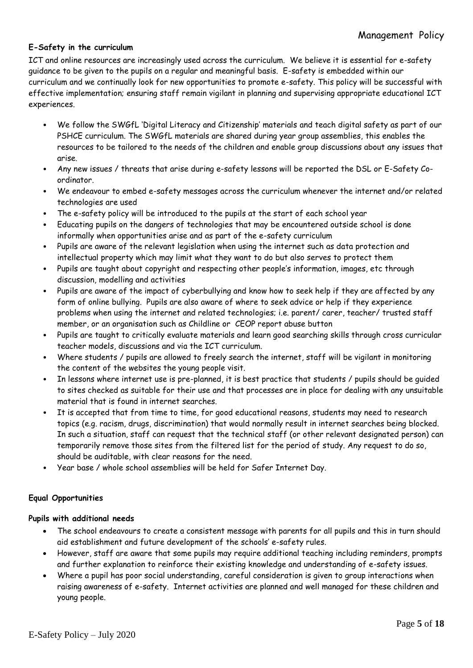## **E-Safety in the curriculum**

ICT and online resources are increasingly used across the curriculum. We believe it is essential for e-safety guidance to be given to the pupils on a regular and meaningful basis. E-safety is embedded within our curriculum and we continually look for new opportunities to promote e-safety. This policy will be successful with effective implementation; ensuring staff remain vigilant in planning and supervising appropriate educational ICT experiences.

- We follow the SWGfL 'Digital Literacy and Citizenship' materials and teach digital safety as part of our PSHCE curriculum. The SWGfL materials are shared during year group assemblies, this enables the resources to be tailored to the needs of the children and enable group discussions about any issues that arise.
- Any new issues / threats that arise during e-safety lessons will be reported the DSL or E-Safety Coordinator.
- We endeavour to embed e-safety messages across the curriculum whenever the internet and/or related technologies are used
- The e-safety policy will be introduced to the pupils at the start of each school year
- Educating pupils on the dangers of technologies that may be encountered outside school is done informally when opportunities arise and as part of the e-safety curriculum
- Pupils are aware of the relevant legislation when using the internet such as data protection and intellectual property which may limit what they want to do but also serves to protect them
- Pupils are taught about copyright and respecting other people's information, images, etc through discussion, modelling and activities
- Pupils are aware of the impact of cyberbullying and know how to seek help if they are affected by any form of online bullying. Pupils are also aware of where to seek advice or help if they experience problems when using the internet and related technologies; i.e. parent/ carer, teacher/ trusted staff member, or an organisation such as Childline or CEOP report abuse button
- Pupils are taught to critically evaluate materials and learn good searching skills through cross curricular teacher models, discussions and via the ICT curriculum.
- Where students / pupils are allowed to freely search the internet, staff will be vigilant in monitoring the content of the websites the young people visit.
- In lessons where internet use is pre-planned, it is best practice that students / pupils should be guided to sites checked as suitable for their use and that processes are in place for dealing with any unsuitable material that is found in internet searches.
- It is accepted that from time to time, for good educational reasons, students may need to research topics (e.g. racism, drugs, discrimination) that would normally result in internet searches being blocked. In such a situation, staff can request that the technical staff (or other relevant designated person) can temporarily remove those sites from the filtered list for the period of study. Any request to do so, should be auditable, with clear reasons for the need.
- Year base / whole school assemblies will be held for Safer Internet Day.

## **Equal Opportunities**

## **Pupils with additional needs**

- The school endeavours to create a consistent message with parents for all pupils and this in turn should aid establishment and future development of the schools' e-safety rules.
- However, staff are aware that some pupils may require additional teaching including reminders, prompts and further explanation to reinforce their existing knowledge and understanding of e-safety issues.
- Where a pupil has poor social understanding, careful consideration is given to group interactions when raising awareness of e-safety. Internet activities are planned and well managed for these children and young people.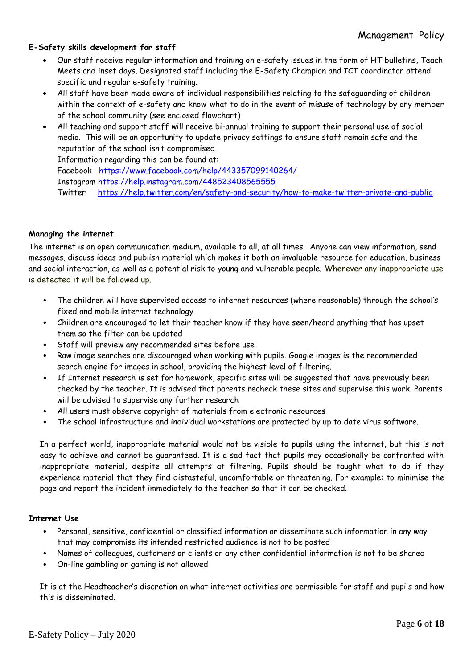## **E-Safety skills development for staff**

- Our staff receive regular information and training on e-safety issues in the form of HT bulletins, Teach Meets and inset days. Designated staff including the E-Safety Champion and ICT coordinator attend specific and regular e-safety training.
- All staff have been made aware of individual responsibilities relating to the safeguarding of children within the context of e-safety and know what to do in the event of misuse of technology by any member of the school community (see enclosed flowchart)
- All teaching and support staff will receive bi-annual training to support their personal use of social media. This will be an opportunity to update privacy settings to ensure staff remain safe and the reputation of the school isn't compromised. Information regarding this can be found at:

Facebook <https://www.facebook.com/help/443357099140264/>

Instagram<https://help.instagram.com/448523408565555>

Twitter <https://help.twitter.com/en/safety-and-security/how-to-make-twitter-private-and-public>

## **Managing the internet**

The internet is an open communication medium, available to all, at all times. Anyone can view information, send messages, discuss ideas and publish material which makes it both an invaluable resource for education, business and social interaction, as well as a potential risk to young and vulnerable people. Whenever any inappropriate use is detected it will be followed up.

- The children will have supervised access to internet resources (where reasonable) through the school's fixed and mobile internet technology
- Children are encouraged to let their teacher know if they have seen/heard anything that has upset them so the filter can be updated
- Staff will preview any recommended sites before use
- Raw image searches are discouraged when working with pupils. Google images is the recommended search engine for images in school, providing the highest level of filtering.
- If Internet research is set for homework, specific sites will be suggested that have previously been checked by the teacher. It is advised that parents recheck these sites and supervise this work. Parents will be advised to supervise any further research
- All users must observe copyright of materials from electronic resources
- The school infrastructure and individual workstations are protected by up to date virus software.

In a perfect world, inappropriate material would not be visible to pupils using the internet, but this is not easy to achieve and cannot be guaranteed. It is a sad fact that pupils may occasionally be confronted with inappropriate material, despite all attempts at filtering. Pupils should be taught what to do if they experience material that they find distasteful, uncomfortable or threatening. For example: to minimise the page and report the incident immediately to the teacher so that it can be checked.

### **Internet Use**

- Personal, sensitive, confidential or classified information or disseminate such information in any way that may compromise its intended restricted audience is not to be posted
- Names of colleagues, customers or clients or any other confidential information is not to be shared
- On-line gambling or gaming is not allowed

It is at the Headteacher's discretion on what internet activities are permissible for staff and pupils and how this is disseminated.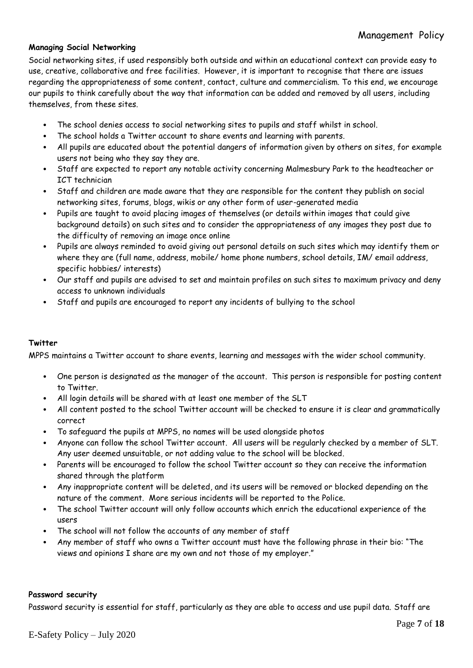## **Managing Social Networking**

Social networking sites, if used responsibly both outside and within an educational context can provide easy to use, creative, collaborative and free facilities. However, it is important to recognise that there are issues regarding the appropriateness of some content, contact, culture and commercialism. To this end, we encourage our pupils to think carefully about the way that information can be added and removed by all users, including themselves, from these sites.

- The school denies access to social networking sites to pupils and staff whilst in school.
- The school holds a Twitter account to share events and learning with parents.
- All pupils are educated about the potential dangers of information given by others on sites, for example users not being who they say they are.
- Staff are expected to report any notable activity concerning Malmesbury Park to the headteacher or ICT technician
- Staff and children are made aware that they are responsible for the content they publish on social networking sites, forums, blogs, wikis or any other form of user-generated media
- Pupils are taught to avoid placing images of themselves (or details within images that could give background details) on such sites and to consider the appropriateness of any images they post due to the difficulty of removing an image once online
- Pupils are always reminded to avoid giving out personal details on such sites which may identify them or where they are (full name, address, mobile/ home phone numbers, school details, IM/ email address, specific hobbies/ interests)
- Our staff and pupils are advised to set and maintain profiles on such sites to maximum privacy and deny access to unknown individuals
- Staff and pupils are encouraged to report any incidents of bullying to the school

## **Twitter**

MPPS maintains a Twitter account to share events, learning and messages with the wider school community.

- One person is designated as the manager of the account. This person is responsible for posting content to Twitter.
- All login details will be shared with at least one member of the SLT
- All content posted to the school Twitter account will be checked to ensure it is clear and grammatically correct
- To safeguard the pupils at MPPS, no names will be used alongside photos
- Anyone can follow the school Twitter account. All users will be regularly checked by a member of SLT. Any user deemed unsuitable, or not adding value to the school will be blocked.
- Parents will be encouraged to follow the school Twitter account so they can receive the information shared through the platform
- Any inappropriate content will be deleted, and its users will be removed or blocked depending on the nature of the comment. More serious incidents will be reported to the Police.
- The school Twitter account will only follow accounts which enrich the educational experience of the users
- The school will not follow the accounts of any member of staff
- Any member of staff who owns a Twitter account must have the following phrase in their bio: "The views and opinions I share are my own and not those of my employer."

## **Password security**

Password security is essential for staff, particularly as they are able to access and use pupil data. Staff are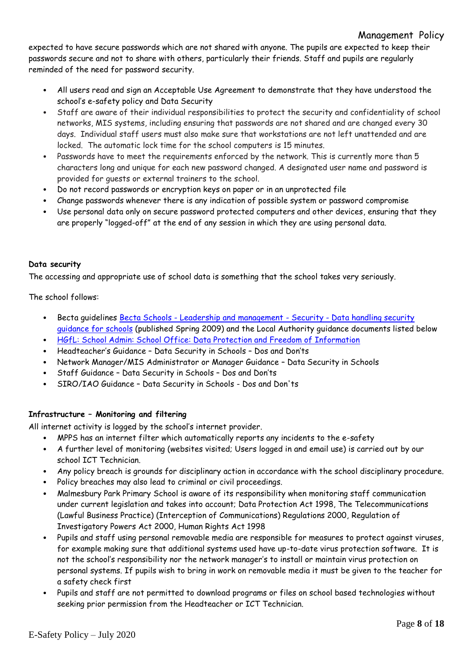expected to have secure passwords which are not shared with anyone. The pupils are expected to keep their passwords secure and not to share with others, particularly their friends. Staff and pupils are regularly reminded of the need for password security.

- All users read and sign an Acceptable Use Agreement to demonstrate that they have understood the school's e-safety policy and Data Security
- Staff are aware of their individual responsibilities to protect the security and confidentiality of school networks, MIS systems, including ensuring that passwords are not shared and are changed every 30 days. Individual staff users must also make sure that workstations are not left unattended and are locked. The automatic lock time for the school computers is 15 minutes.
- Passwords have to meet the requirements enforced by the network. This is currently more than 5 characters long and unique for each new password changed. A designated user name and password is provided for guests or external trainers to the school.
- Do not record passwords or encryption keys on paper or in an unprotected file
- Change passwords whenever there is any indication of possible system or password compromise
- Use personal data only on secure password protected computers and other devices, ensuring that they are properly "logged-off" at the end of any session in which they are using personal data.

## **Data security**

The accessing and appropriate use of school data is something that the school takes very seriously.

The school follows:

- Becta guidelines Becta Schools [Leadership and management -](http://schools.becta.org.uk/index.php?section=lv&catcode=ss_lv_saf_se_03&rid=14734) Security Data handling security [guidance for schools](http://schools.becta.org.uk/index.php?section=lv&catcode=ss_lv_saf_se_03&rid=14734) (published Spring 2009) and the Local Authority guidance documents listed below
- [HGfL: School Admin: School Office: Data Protection and Freedom of Information](http://www.thegrid.org.uk/info/dataprotection/index.shtml#securedata)
- Headteacher's Guidance Data Security in Schools Dos and Don'ts
- Network Manager/MIS Administrator or Manager Guidance Data Security in Schools
- Staff Guidance Data Security in Schools Dos and Don'ts
- SIRO/IAO Guidance Data Security in Schools Dos and Don'ts

## **Infrastructure – Monitoring and filtering**

All internet activity is logged by the school's internet provider.

- MPPS has an internet filter which automatically reports any incidents to the e-safety
- A further level of monitoring (websites visited; Users logged in and email use) is carried out by our school ICT Technician.
- Any policy breach is grounds for disciplinary action in accordance with the school disciplinary procedure.
- Policy breaches may also lead to criminal or civil proceedings.
- Malmesbury Park Primary School is aware of its responsibility when monitoring staff communication under current legislation and takes into account; Data Protection Act 1998, The Telecommunications (Lawful Business Practice) (Interception of Communications) Regulations 2000, Regulation of Investigatory Powers Act 2000, Human Rights Act 1998
- Pupils and staff using personal removable media are responsible for measures to protect against viruses, for example making sure that additional systems used have up-to-date virus protection software. It is not the school's responsibility nor the network manager's to install or maintain virus protection on personal systems. If pupils wish to bring in work on removable media it must be given to the teacher for a safety check first
- Pupils and staff are not permitted to download programs or files on school based technologies without seeking prior permission from the Headteacher or ICT Technician.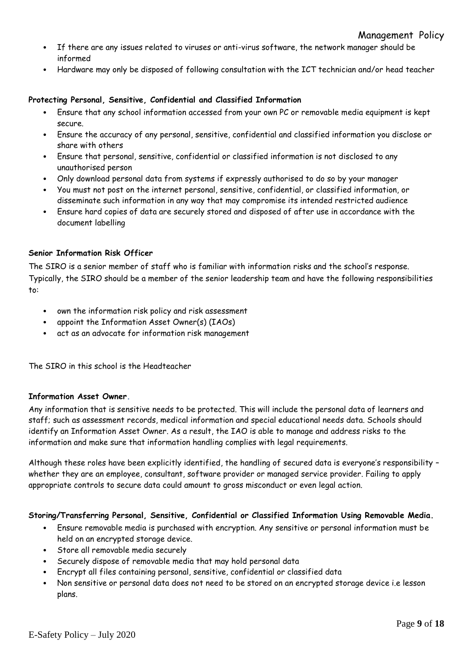- If there are any issues related to viruses or anti-virus software, the network manager should be informed
- Hardware may only be disposed of following consultation with the ICT technician and/or head teacher

## **Protecting Personal, Sensitive, Confidential and Classified Information**

- Ensure that any school information accessed from your own PC or removable media equipment is kept secure.
- Ensure the accuracy of any personal, sensitive, confidential and classified information you disclose or share with others
- Ensure that personal, sensitive, confidential or classified information is not disclosed to any unauthorised person
- Only download personal data from systems if expressly authorised to do so by your manager
- You must not post on the internet personal, sensitive, confidential, or classified information, or disseminate such information in any way that may compromise its intended restricted audience
- Ensure hard copies of data are securely stored and disposed of after use in accordance with the document labelling

### **Senior Information Risk Officer**

The SIRO is a senior member of staff who is familiar with information risks and the school's response. Typically, the SIRO should be a member of the senior leadership team and have the following responsibilities to:

- own the information risk policy and risk assessment
- appoint the Information Asset Owner(s) (IAOs)
- act as an advocate for information risk management

The SIRO in this school is the Headteacher

### **Information Asset Owner.**

Any information that is sensitive needs to be protected. This will include the personal data of learners and staff; such as assessment records, medical information and special educational needs data. Schools should identify an Information Asset Owner. As a result, the IAO is able to manage and address risks to the information and make sure that information handling complies with legal requirements.

Although these roles have been explicitly identified, the handling of secured data is everyone's responsibility – whether they are an employee, consultant, software provider or managed service provider. Failing to apply appropriate controls to secure data could amount to gross misconduct or even legal action.

### **Storing/Transferring Personal, Sensitive, Confidential or Classified Information Using Removable Media.**

- Ensure removable media is purchased with encryption. Any sensitive or personal information must be held on an encrypted storage device.
- Store all removable media securely
- Securely dispose of removable media that may hold personal data
- Encrypt all files containing personal, sensitive, confidential or classified data
- Non sensitive or personal data does not need to be stored on an encrypted storage device i.e lesson plans.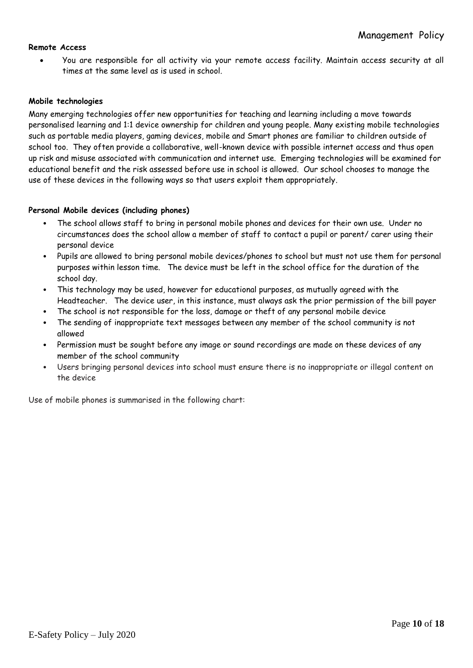## **Remote Access**

• You are responsible for all activity via your remote access facility. Maintain access security at all times at the same level as is used in school.

### **Mobile technologies**

Many emerging technologies offer new opportunities for teaching and learning including a move towards personalised learning and 1:1 device ownership for children and young people. Many existing mobile technologies such as portable media players, gaming devices, mobile and Smart phones are familiar to children outside of school too. They often provide a collaborative, well-known device with possible internet access and thus open up risk and misuse associated with communication and internet use. Emerging technologies will be examined for educational benefit and the risk assessed before use in school is allowed. Our school chooses to manage the use of these devices in the following ways so that users exploit them appropriately.

## **Personal Mobile devices (including phones)**

- The school allows staff to bring in personal mobile phones and devices for their own use. Under no circumstances does the school allow a member of staff to contact a pupil or parent/ carer using their personal device
- Pupils are allowed to bring personal mobile devices/phones to school but must not use them for personal purposes within lesson time. The device must be left in the school office for the duration of the school day.
- This technology may be used, however for educational purposes, as mutually agreed with the Headteacher.The device user, in this instance, must always ask the prior permission of the bill payer
- The school is not responsible for the loss, damage or theft of any personal mobile device
- The sending of inappropriate text messages between any member of the school community is not allowed
- Permission must be sought before any image or sound recordings are made on these devices of any member of the school community
- Users bringing personal devices into school must ensure there is no inappropriate or illegal content on the device

Use of mobile phones is summarised in the following chart: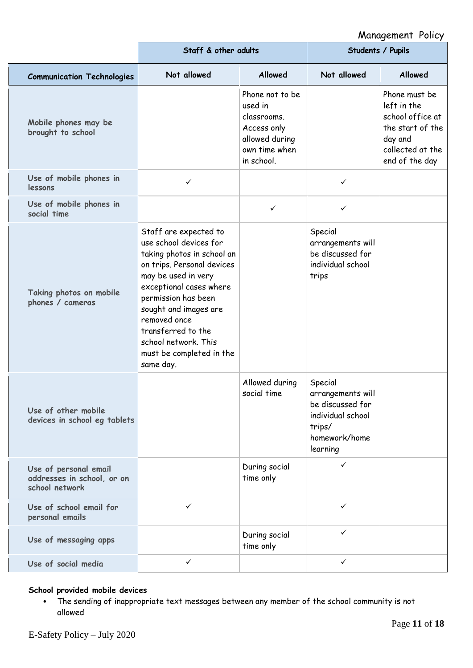# Management Policy

|                                                                       | Staff & other adults                                                                                                                                                                                                                                                                                                 |                                                                                                           | Students / Pupils                                                                                            |                                                                                                                       |
|-----------------------------------------------------------------------|----------------------------------------------------------------------------------------------------------------------------------------------------------------------------------------------------------------------------------------------------------------------------------------------------------------------|-----------------------------------------------------------------------------------------------------------|--------------------------------------------------------------------------------------------------------------|-----------------------------------------------------------------------------------------------------------------------|
| <b>Communication Technologies</b>                                     | Not allowed                                                                                                                                                                                                                                                                                                          | <b>Allowed</b>                                                                                            | Not allowed                                                                                                  | <b>Allowed</b>                                                                                                        |
| Mobile phones may be<br>brought to school                             |                                                                                                                                                                                                                                                                                                                      | Phone not to be<br>used in<br>classrooms.<br>Access only<br>allowed during<br>own time when<br>in school. |                                                                                                              | Phone must be<br>left in the<br>school office at<br>the start of the<br>day and<br>collected at the<br>end of the day |
| Use of mobile phones in<br>lessons                                    | $\checkmark$                                                                                                                                                                                                                                                                                                         |                                                                                                           | ✓                                                                                                            |                                                                                                                       |
| Use of mobile phones in<br>social time                                |                                                                                                                                                                                                                                                                                                                      | $\checkmark$                                                                                              | ✓                                                                                                            |                                                                                                                       |
| Taking photos on mobile<br>phones / cameras                           | Staff are expected to<br>use school devices for<br>taking photos in school an<br>on trips. Personal devices<br>may be used in very<br>exceptional cases where<br>permission has been<br>sought and images are<br>removed once<br>transferred to the<br>school network. This<br>must be completed in the<br>same day. |                                                                                                           | Special<br>arrangements will<br>be discussed for<br>individual school<br>trips                               |                                                                                                                       |
| Use of other mobile<br>devices in school eg tablets                   |                                                                                                                                                                                                                                                                                                                      | Allowed during<br>social time                                                                             | Special<br>arrangements will<br>be discussed for<br>individual school<br>trips/<br>homework/home<br>learning |                                                                                                                       |
| Use of personal email<br>addresses in school, or on<br>school network |                                                                                                                                                                                                                                                                                                                      | During social<br>time only                                                                                | ✓                                                                                                            |                                                                                                                       |
| Use of school email for<br>personal emails                            | $\checkmark$                                                                                                                                                                                                                                                                                                         |                                                                                                           | $\checkmark$                                                                                                 |                                                                                                                       |
| Use of messaging apps                                                 |                                                                                                                                                                                                                                                                                                                      | During social<br>time only                                                                                | ✓                                                                                                            |                                                                                                                       |
| Use of social media                                                   | ✓                                                                                                                                                                                                                                                                                                                    |                                                                                                           | ✓                                                                                                            |                                                                                                                       |

## **School provided mobile devices**

• The sending of inappropriate text messages between any member of the school community is not allowed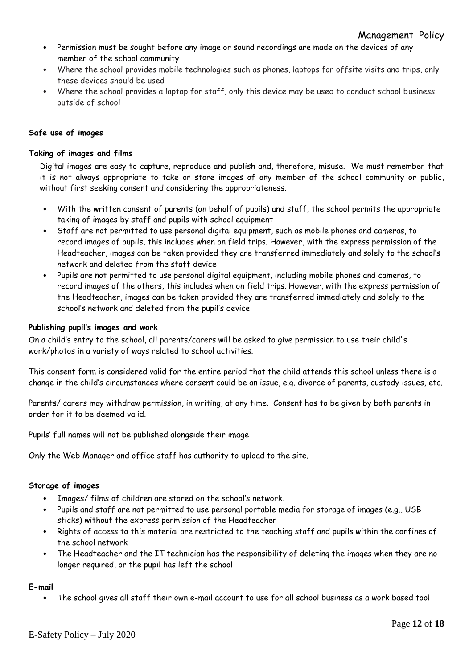- Permission must be sought before any image or sound recordings are made on the devices of any member of the school community
- Where the school provides mobile technologies such as phones, laptops for offsite visits and trips, only these devices should be used
- Where the school provides a laptop for staff, only this device may be used to conduct school business outside of school

## **Safe use of images**

### **Taking of images and films**

Digital images are easy to capture, reproduce and publish and, therefore, misuse. We must remember that it is not always appropriate to take or store images of any member of the school community or public, without first seeking consent and considering the appropriateness.

- With the written consent of parents (on behalf of pupils) and staff, the school permits the appropriate taking of images by staff and pupils with school equipment
- Staff are not permitted to use personal digital equipment, such as mobile phones and cameras, to record images of pupils, this includes when on field trips. However, with the express permission of the Headteacher, images can be taken provided they are transferred immediately and solely to the school's network and deleted from the staff device
- Pupils are not permitted to use personal digital equipment, including mobile phones and cameras, to record images of the others, this includes when on field trips. However, with the express permission of the Headteacher, images can be taken provided they are transferred immediately and solely to the school's network and deleted from the pupil's device

### **Publishing pupil's images and work**

On a child's entry to the school, all parents/carers will be asked to give permission to use their child's work/photos in a variety of ways related to school activities.

This consent form is considered valid for the entire period that the child attends this school unless there is a change in the child's circumstances where consent could be an issue, e.g. divorce of parents, custody issues, etc.

Parents/ carers may withdraw permission, in writing, at any time. Consent has to be given by both parents in order for it to be deemed valid.

Pupils' full names will not be published alongside their image

Only the Web Manager and office staff has authority to upload to the site.

### **Storage of images**

- Images/ films of children are stored on the school's network.
- Pupils and staff are not permitted to use personal portable media for storage of images (e.g., USB sticks) without the express permission of the Headteacher
- Rights of access to this material are restricted to the teaching staff and pupils within the confines of the school network
- The Headteacher and the IT technician has the responsibility of deleting the images when they are no longer required, or the pupil has left the school

### **E-mail**

• The school gives all staff their own e-mail account to use for all school business as a work based tool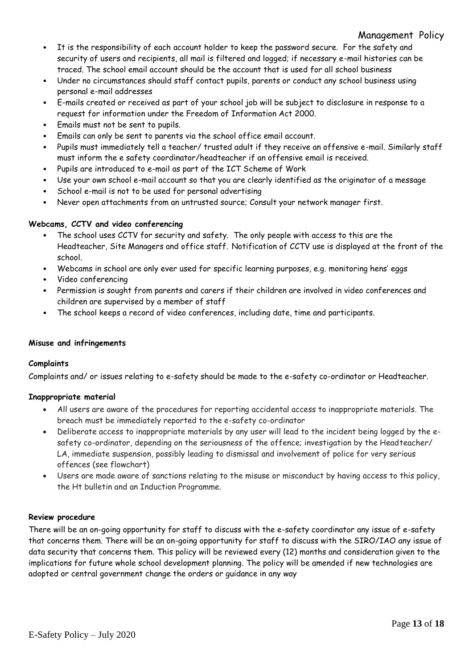## Management Policy

- It is the responsibility of each account holder to keep the password secure. For the safety and security of users and recipients, all mail is filtered and logged; if necessary e-mail histories can be traced. The school email account should be the account that is used for all school business
- Under no circumstances should staff contact pupils, parents or conduct any school business using personal e-mail addresses
- E-mails created or received as part of your school job will be subject to disclosure in response to a request for information under the Freedom of Information Act 2000.
- Emails must not be sent to pupils.
- Emails can only be sent to parents via the school office email account.
- Pupils must immediately tell a teacher/ trusted adult if they receive an offensive e-mail. Similarly staff must inform the e safety coordinator/headteacher if an offensive email is received.
- Pupils are introduced to e-mail as part of the ICT Scheme of Work
- Use your own school e-mail account so that you are clearly identified as the originator of a message
- School e-mail is not to be used for personal advertising
- Never open attachments from an untrusted source; Consult your network manager first.

## **Webcams, CCTV and video conferencing**

- The school uses CCTV for security and safety. The only people with access to this are the Headteacher, Site Managers and office staff. Notification of CCTV use is displayed at the front of the school.
- Webcams in school are only ever used for specific learning purposes, e.g. monitoring hens' eggs
- Video conferencing
- Permission is sought from parents and carers if their children are involved in video conferences and children are supervised by a member of staff
- The school keeps a record of video conferences, including date, time and participants.

### **Misuse and infringements**

### **Complaints**

Complaints and/ or issues relating to e-safety should be made to the e-safety co-ordinator or Headteacher.

### **Inappropriate material**

- All users are aware of the procedures for reporting accidental access to inappropriate materials. The breach must be immediately reported to the e-safety co-ordinator
- Deliberate access to inappropriate materials by any user will lead to the incident being logged by the esafety co-ordinator, depending on the seriousness of the offence; investigation by the Headteacher/ LA, immediate suspension, possibly leading to dismissal and involvement of police for very serious offences (see flowchart)
- Users are made aware of sanctions relating to the misuse or misconduct by having access to this policy, the Ht bulletin and an Induction Programme.

### **Review procedure**

There will be an on-going opportunity for staff to discuss with the e-safety coordinator any issue of e-safety that concerns them. There will be an on-going opportunity for staff to discuss with the SIRO/IAO any issue of data security that concerns them. This policy will be reviewed every (12) months and consideration given to the implications for future whole school development planning. The policy will be amended if new technologies are adopted or central government change the orders or guidance in any way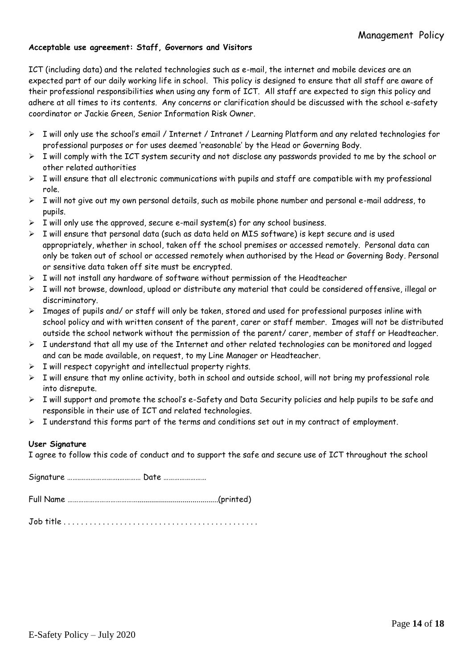### **Acceptable use agreement: Staff, Governors and Visitors**

ICT (including data) and the related technologies such as e-mail, the internet and mobile devices are an expected part of our daily working life in school. This policy is designed to ensure that all staff are aware of their professional responsibilities when using any form of ICT. All staff are expected to sign this policy and adhere at all times to its contents. Any concerns or clarification should be discussed with the school e-safety coordinator or Jackie Green, Senior Information Risk Owner.

- ➢ I will only use the school's email / Internet / Intranet / Learning Platform and any related technologies for professional purposes or for uses deemed 'reasonable' by the Head or Governing Body.
- ➢ I will comply with the ICT system security and not disclose any passwords provided to me by the school or other related authorities
- $\triangleright$  I will ensure that all electronic communications with pupils and staff are compatible with my professional role.
- ➢ I will not give out my own personal details, such as mobile phone number and personal e-mail address, to pupils.
- $\triangleright$  I will only use the approved, secure e-mail system(s) for any school business.
- $\triangleright$  I will ensure that personal data (such as data held on MIS software) is kept secure and is used appropriately, whether in school, taken off the school premises or accessed remotely. Personal data can only be taken out of school or accessed remotely when authorised by the Head or Governing Body. Personal or sensitive data taken off site must be encrypted.
- ➢ I will not install any hardware of software without permission of the Headteacher
- ➢ I will not browse, download, upload or distribute any material that could be considered offensive, illegal or discriminatory.
- ➢ Images of pupils and/ or staff will only be taken, stored and used for professional purposes inline with school policy and with written consent of the parent, carer or staff member. Images will not be distributed outside the school network without the permission of the parent/ carer, member of staff or Headteacher.
- ➢ I understand that all my use of the Internet and other related technologies can be monitored and logged and can be made available, on request, to my Line Manager or Headteacher.
- $\triangleright$  I will respect copyright and intellectual property rights.
- ➢ I will ensure that my online activity, both in school and outside school, will not bring my professional role into disrepute.
- ➢ I will support and promote the school's e-Safety and Data Security policies and help pupils to be safe and responsible in their use of ICT and related technologies.
- ➢ I understand this forms part of the terms and conditions set out in my contract of employment.

### **User Signature**

I agree to follow this code of conduct and to support the safe and secure use of ICT throughout the school

Signature …….………………….………… Date ……………………

Full Name ………………………………….........................................(printed)

Job title . . . . . . . . . . . . . . . . . . . . . . . . . . . . . . . . . . . . . . . . . . . . .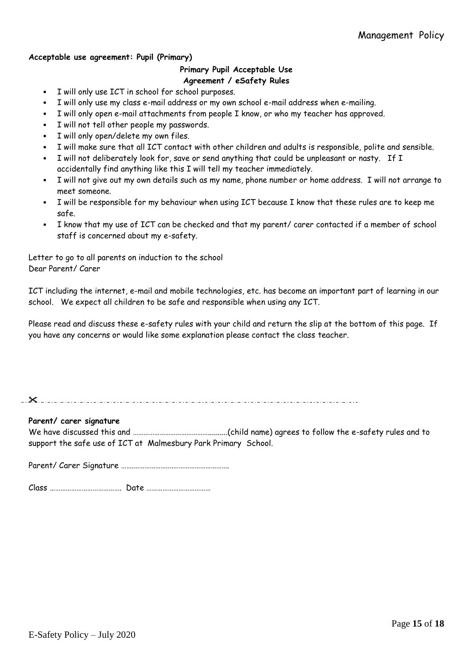## **Acceptable use agreement: Pupil (Primary)**

## **Primary Pupil Acceptable Use Agreement / eSafety Rules**

- I will only use ICT in school for school purposes.
- I will only use my class e-mail address or my own school e-mail address when e-mailing.
- I will only open e-mail attachments from people I know, or who my teacher has approved.
- I will not tell other people my passwords.
- I will only open/delete my own files.
- I will make sure that all ICT contact with other children and adults is responsible, polite and sensible.
- I will not deliberately look for, save or send anything that could be unpleasant or nasty. If I accidentally find anything like this I will tell my teacher immediately.
- I will not give out my own details such as my name, phone number or home address. I will not arrange to meet someone.
- I will be responsible for my behaviour when using ICT because I know that these rules are to keep me safe.
- I know that my use of ICT can be checked and that my parent/ carer contacted if a member of school staff is concerned about my e-safety.

Letter to go to all parents on induction to the school Dear Parent/ Carer

ICT including the internet, e-mail and mobile technologies, etc. has become an important part of learning in our school. We expect all children to be safe and responsible when using any ICT.

Please read and discuss these e-safety rules with your child and return the slip at the bottom of this page. If you have any concerns or would like some explanation please contact the class teacher.

**Parent/ carer signature**

We have discussed this and ……………………………………..........(child name) agrees to follow the e-safety rules and to support the safe use of ICT at Malmesbury Park Primary School.

Parent/ Carer Signature …….………………….………………………….

Class …………………………………. Date ………………………………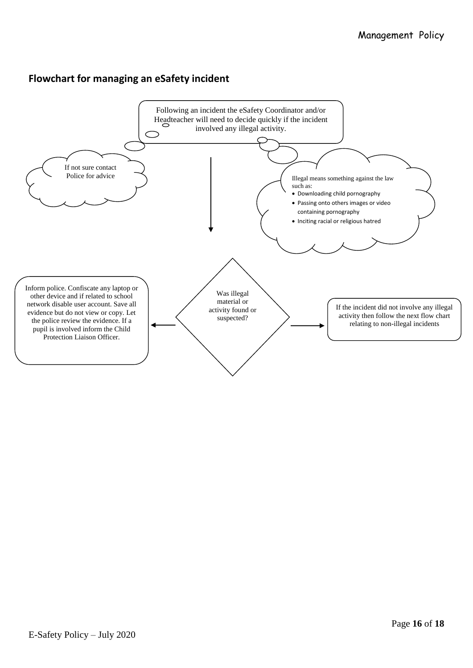# **Flowchart for managing an eSafety incident**

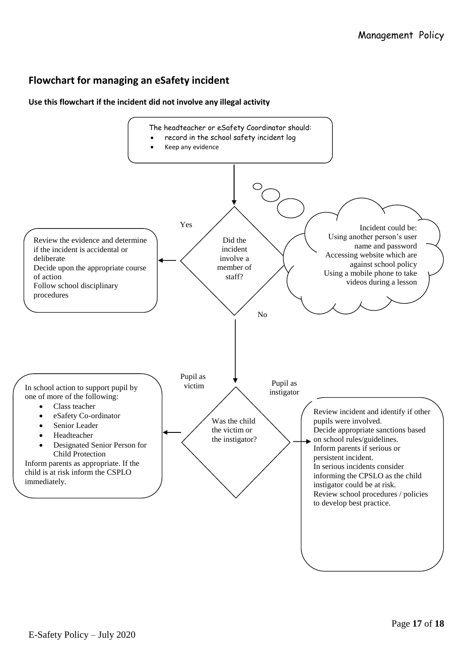# **Flowchart for managing an eSafety incident**

## **Use this flowchart if the incident did not involve any illegal activity**